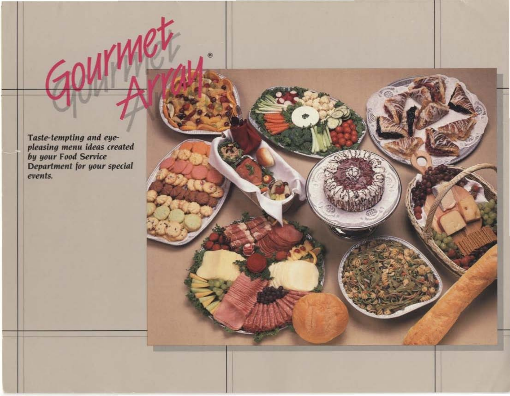Taste-tempting and eye-<br>pleasing menu ideas created<br>by your Food Service<br>Department for your special events.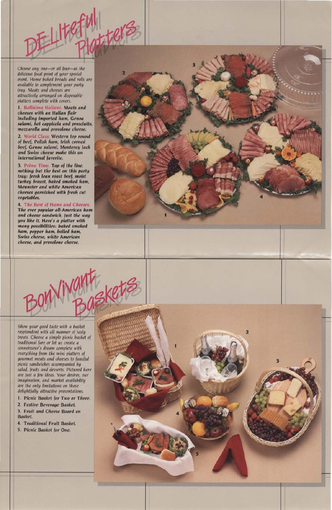Choose any one-or all four-as the delicious focal point of your special event. Home baked breads and rolls are available to complement your party tray. Meats and cheeses are attractively arranaed on disposable platters complete with covers.

1. Bellisima Italiano. Meats and cheeses with an Italian flair including imported ham, Genoa salami, hot cappicola and prosciutto. mozzarella and provolone cheese.

2. World Class. Western top round of beef. Polish ham, Irish corned beef, Genoa salami, Monterey Jack and Swiss cheese make this an international favorite.

3. Prime Time. Top of the line, nothing but the best on this party tray: fresh lean roast beef, moist turkey breast, baked smoked ham. Meunster and white American cheeses garnished with fresh cut vegetables.

4. The Best of Hams and Cheeses. The ever popular all-American ham and cheese sandwich, just the way you like it. Here's a platter with many possibilities: baked smoked ham, pepper ham, boiled ham, Swiss cheese, white American cheese, and provolone cheese.



 $\overline{\mathbf{3}}$ 



Show your good taste with a basket resplendent with all manner of tasty treats. Choose a simple picnic basket of traditional fare or let us create a connoisseur's dream complete with everything from the mini platters of gourmet meats and cheeses to fanciful picnic sandwiches accompanied by salad, fruits and desserts. Pictured here are just a few ideas. Your desires, our

imagination, and market availability are the only limitations on these delightfully attractive presentations.

- 1. Picnic Basket for Two or Three.
- 2. Festive Beverage Basket.
- 3. Fruit and Cheese Board en Basket.
- 4. Traditional Fruit Basket.
- 5. Picnic Basket for One.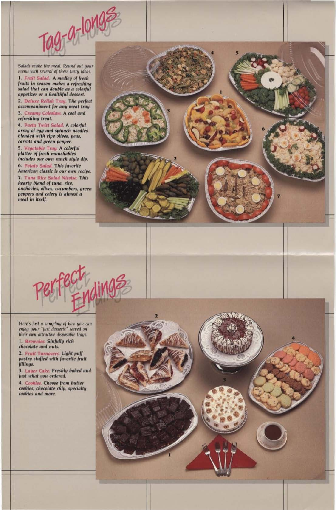

Salads make the meal. Round out your menu with several of these tasty ideas.

1. Fruit Salad. A medley of fresh fruits in season makes a refreshing salad that can double as a colorful appetizer or a healthful dessert.

2. Deluxe Relish Tray. The perfect accompaniment for any meat tray.

3. Creamy Coleslaw. A cool and refreshing treat.

4. Pasta Twist Salad. A colorful array of egg and spinach noodles blended with ripe olives, peas, carrots and green pepper.

5. Vegetable Tray. A colorful platter of fresh munchables includes our own ranch style dip.

6. Potato Salad. This favorite American classic is our own recipe.

7. Tuna Rice Salad Nicolse. This hearty blend of tuna, rice, anchovies, olives, cucumbers, green peppers and celery is almost a meal in itself.



Here's just a sampling of how you can enjoy your "just desserts" served on their own attractive disposable trays.

1. Brownles. Sinfully rich chocolate and nuts.

2. Fruit Turnovers. Light puff pastry stuffed with favorite fruit fillings.

3. Layer Cake. Freshly baked and just what you ordered.



4. Cookies. Choose from butter cookies, chocolate chip, specialty cookies and more.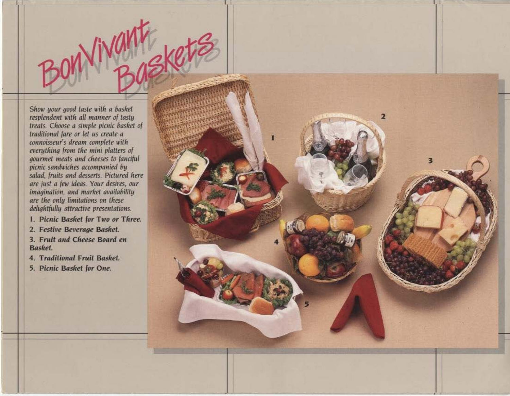Show your good taste with a basket resplendent with all manner of tasty treats. Choose a simple picnic basket of traditional fare or let us create a connoisseur's dream complete with everything from the mini platters of gourmet meats and cheeses to fanciful picnic sandwiches accompanied by salad, fruits and desserts. Pictured here are just a few ideas. Your desires, our imagination, and market availability are the only limitations on these delightfully attractive presentations.

I. Picnic Basket for Two or Three.

2. Festive Beverage Basket.

3. Fruit and Cheese Board en **Basket** 

4. Traditional Fruit Basket.

5. Picnic Basket for One.

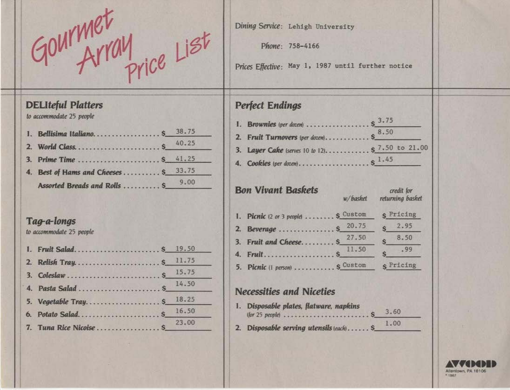GOUTMET<br>GOUTMET

#### **DELIteful Platters**

to accommodate 25 people

| 1. Bellisima Italiano \$ 38.75       |       |
|--------------------------------------|-------|
|                                      | 40.25 |
| 3. Prime Time  \$ 41.25              |       |
| 4. Best of Hams and Cheeses \$ 33.75 |       |
| Assorted Breads and Rolls  \$        | 9.00  |

### Tag-a-longs

to accommodate 25 people

|  | 15.75 |
|--|-------|
|  |       |
|  | 18,25 |
|  | 16.50 |
|  | 23,00 |

Dining Service: Lehigh University

Phone: 758-4166

Prices Effective: May 1, 1987 until further notice

## **Perfect Endings**

| <b>Bon Vivant Baskets</b> |                                      | w/basket |       | credit for<br>returning basket |                  |
|---------------------------|--------------------------------------|----------|-------|--------------------------------|------------------|
|                           | 1. Picnic (2 or 3 people)  \$ Custom |          |       |                                | <b>S</b> Pricing |
|                           | 2. Beverage  \$ 20.75                |          |       |                                | 2.95             |
|                           | 3. Fruit and Cheese \$               |          | 27.50 |                                | 8.50             |
|                           |                                      |          | 11.50 |                                | .99              |
|                           | 5. Picnic (I person)  S Custom       |          |       |                                | s Pricing        |

#### **Necessities and Niceties**

| 1. Disposable plates, flatware, napkins  | 3.60 |  |
|------------------------------------------|------|--|
| 2. Disposable serving utensils (each) S_ | 1.00 |  |